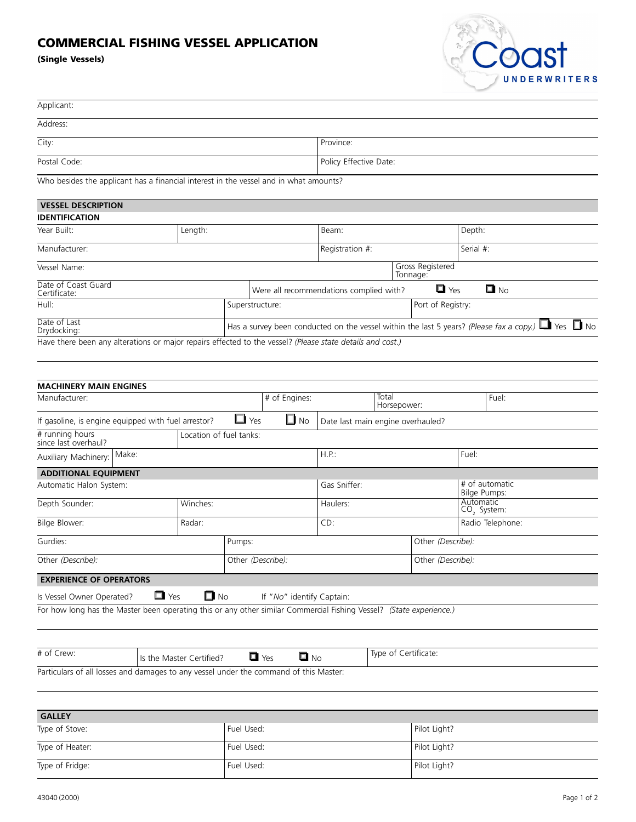## **COMMERCIAL FISHING VESSEL APPLICATION**

**(Single Vessels)**



| Applicant:                                                                                                          |                              |                 |                                                       |                                   |                      |                              |                                |                                                                                                              |
|---------------------------------------------------------------------------------------------------------------------|------------------------------|-----------------|-------------------------------------------------------|-----------------------------------|----------------------|------------------------------|--------------------------------|--------------------------------------------------------------------------------------------------------------|
| Address:                                                                                                            |                              |                 |                                                       |                                   |                      |                              |                                |                                                                                                              |
| City:                                                                                                               |                              |                 | Province:                                             |                                   |                      |                              |                                |                                                                                                              |
| Postal Code:                                                                                                        |                              |                 | Policy Effective Date:                                |                                   |                      |                              |                                |                                                                                                              |
| Who besides the applicant has a financial interest in the vessel and in what amounts?                               |                              |                 |                                                       |                                   |                      |                              |                                |                                                                                                              |
|                                                                                                                     |                              |                 |                                                       |                                   |                      |                              |                                |                                                                                                              |
| <b>VESSEL DESCRIPTION</b><br><b>IDENTIFICATION</b>                                                                  |                              |                 |                                                       |                                   |                      |                              |                                |                                                                                                              |
| Year Built:                                                                                                         | Length:                      |                 |                                                       | Beam:                             |                      |                              | Depth:                         |                                                                                                              |
|                                                                                                                     |                              |                 |                                                       |                                   |                      |                              |                                |                                                                                                              |
| Manufacturer:                                                                                                       |                              |                 |                                                       |                                   | Registration #:      |                              | Serial #:                      |                                                                                                              |
| Vessel Name:                                                                                                        |                              |                 |                                                       |                                   |                      | Gross Registered<br>Tonnage: |                                |                                                                                                              |
| Date of Coast Guard<br>Certificate:                                                                                 |                              |                 | $\Box$ Yes<br>Were all recommendations complied with? |                                   |                      |                              |                                | $\blacksquare$ No                                                                                            |
| Hull:                                                                                                               |                              | Superstructure: |                                                       |                                   |                      | Port of Registry:            |                                |                                                                                                              |
| Date of Last<br>Drydocking:                                                                                         |                              |                 |                                                       |                                   |                      |                              |                                | Has a survey been conducted on the vessel within the last 5 years? (Please fax a copy.) $\Box$ Yes $\Box$ No |
| Have there been any alterations or major repairs effected to the vessel? (Please state details and cost.)           |                              |                 |                                                       |                                   |                      |                              |                                |                                                                                                              |
|                                                                                                                     |                              |                 |                                                       |                                   |                      |                              |                                |                                                                                                              |
|                                                                                                                     |                              |                 |                                                       |                                   |                      |                              |                                |                                                                                                              |
| <b>MACHINERY MAIN ENGINES</b>                                                                                       |                              |                 |                                                       |                                   |                      |                              |                                |                                                                                                              |
| Manufacturer:                                                                                                       |                              |                 | # of Engines:                                         |                                   | Total                |                              |                                | Fuel:                                                                                                        |
|                                                                                                                     |                              |                 |                                                       |                                   | Horsepower:          |                              |                                |                                                                                                              |
| If gasoline, is engine equipped with fuel arrestor?                                                                 |                              | $\Box$ Yes      | $\square$ No                                          | Date last main engine overhauled? |                      |                              |                                |                                                                                                              |
| # running hours<br>since last overhaul?                                                                             | Location of fuel tanks:      |                 |                                                       |                                   |                      |                              |                                |                                                                                                              |
| Make:<br>Auxiliary Machinery:                                                                                       |                              |                 |                                                       | $H.P.$ :                          |                      | Fuel:                        |                                |                                                                                                              |
| <b>ADDITIONAL EQUIPMENT</b>                                                                                         |                              |                 |                                                       |                                   |                      |                              |                                |                                                                                                              |
| Automatic Halon System:                                                                                             |                              |                 |                                                       | Gas Sniffer:                      |                      |                              | # of automatic<br>Bilge Pumps: |                                                                                                              |
| Depth Sounder:                                                                                                      | Winches:                     |                 |                                                       | Haulers:                          |                      | Automatic                    |                                |                                                                                                              |
| Bilge Blower:                                                                                                       | Radar:                       |                 |                                                       | CD:                               |                      |                              | $CO2$ System:                  | Radio Telephone:                                                                                             |
| Gurdies:                                                                                                            |                              | Pumps:          |                                                       |                                   |                      | Other (Describe):            |                                |                                                                                                              |
|                                                                                                                     |                              |                 |                                                       |                                   |                      |                              |                                |                                                                                                              |
| Other (Describe):<br>Other (Describe):                                                                              |                              |                 |                                                       |                                   | Other (Describe):    |                              |                                |                                                                                                              |
| <b>EXPERIENCE OF OPERATORS</b>                                                                                      |                              |                 |                                                       |                                   |                      |                              |                                |                                                                                                              |
| Is Vessel Owner Operated?                                                                                           | $\Box$ Yes<br>$\square$ l No |                 | If "No" identify Captain:                             |                                   |                      |                              |                                |                                                                                                              |
| For how long has the Master been operating this or any other similar Commercial Fishing Vessel? (State experience.) |                              |                 |                                                       |                                   |                      |                              |                                |                                                                                                              |
|                                                                                                                     |                              |                 |                                                       |                                   |                      |                              |                                |                                                                                                              |
| # of Crew:                                                                                                          | Is the Master Certified?     |                 | $\blacksquare$ No<br>$\Box$ Yes                       |                                   | Type of Certificate: |                              |                                |                                                                                                              |
| Particulars of all losses and damages to any vessel under the command of this Master:                               |                              |                 |                                                       |                                   |                      |                              |                                |                                                                                                              |
|                                                                                                                     |                              |                 |                                                       |                                   |                      |                              |                                |                                                                                                              |

| <b>GALLEY</b>   |            |              |  |  |  |  |  |
|-----------------|------------|--------------|--|--|--|--|--|
| Type of Stove:  | Fuel Used: | Pilot Light? |  |  |  |  |  |
| Type of Heater: | Fuel Used: | Pilot Light? |  |  |  |  |  |
| Type of Fridge: | Fuel Used: | Pilot Light? |  |  |  |  |  |